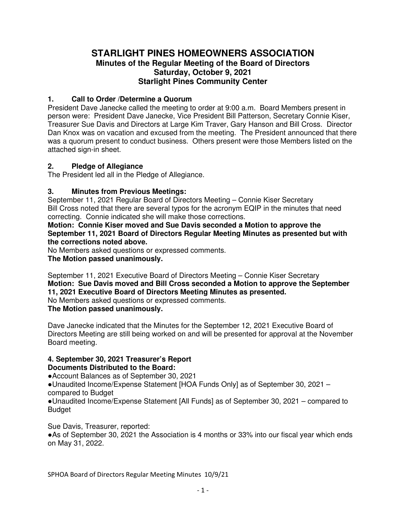# **STARLIGHT PINES HOMEOWNERS ASSOCIATION Minutes of the Regular Meeting of the Board of Directors Saturday, October 9, 2021 Starlight Pines Community Center**

## **1. Call to Order /Determine a Quorum**

President Dave Janecke called the meeting to order at 9:00 a.m. Board Members present in person were: President Dave Janecke, Vice President Bill Patterson, Secretary Connie Kiser, Treasurer Sue Davis and Directors at Large Kim Traver, Gary Hanson and Bill Cross. Director Dan Knox was on vacation and excused from the meeting. The President announced that there was a quorum present to conduct business. Others present were those Members listed on the attached sign-in sheet.

## **2. Pledge of Allegiance**

The President led all in the Pledge of Allegiance.

# **3. Minutes from Previous Meetings:**

September 11, 2021 Regular Board of Directors Meeting – Connie Kiser Secretary Bill Cross noted that there are several typos for the acronym EQIP in the minutes that need correcting. Connie indicated she will make those corrections.

**Motion: Connie Kiser moved and Sue Davis seconded a Motion to approve the September 11, 2021 Board of Directors Regular Meeting Minutes as presented but with the corrections noted above.** 

No Members asked questions or expressed comments.

**The Motion passed unanimously.** 

September 11, 2021 Executive Board of Directors Meeting – Connie Kiser Secretary **Motion: Sue Davis moved and Bill Cross seconded a Motion to approve the September 11, 2021 Executive Board of Directors Meeting Minutes as presented.**  No Members asked questions or expressed comments.

**The Motion passed unanimously.** 

Dave Janecke indicated that the Minutes for the September 12, 2021 Executive Board of Directors Meeting are still being worked on and will be presented for approval at the November Board meeting.

#### **4. September 30, 2021 Treasurer's Report Documents Distributed to the Board:**

●Account Balances as of September 30, 2021

●Unaudited Income/Expense Statement [HOA Funds Only] as of September 30, 2021 – compared to Budget

●Unaudited Income/Expense Statement [All Funds] as of September 30, 2021 – compared to Budget

Sue Davis, Treasurer, reported: ●As of September 30, 2021 the Association is 4 months or 33% into our fiscal year which ends on May 31, 2022.

SPHOA Board of Directors Regular Meeting Minutes 10/9/21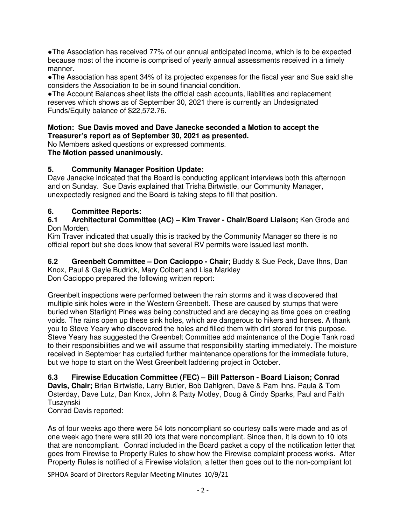●The Association has received 77% of our annual anticipated income, which is to be expected because most of the income is comprised of yearly annual assessments received in a timely manner.

●The Association has spent 34% of its projected expenses for the fiscal year and Sue said she considers the Association to be in sound financial condition.

●The Account Balances sheet lists the official cash accounts, liabilities and replacement reserves which shows as of September 30, 2021 there is currently an Undesignated Funds/Equity balance of \$22,572.76.

### **Motion: Sue Davis moved and Dave Janecke seconded a Motion to accept the Treasurer's report as of September 30, 2021 as presented.**

No Members asked questions or expressed comments.

**The Motion passed unanimously.** 

# **5. Community Manager Position Update:**

Dave Janecke indicated that the Board is conducting applicant interviews both this afternoon and on Sunday. Sue Davis explained that Trisha Birtwistle, our Community Manager, unexpectedly resigned and the Board is taking steps to fill that position.

# **6. Committee Reports:**

### **6.1 Architectural Committee (AC) – Kim Traver - Chair/Board Liaison;** Ken Grode and Don Morden.

Kim Traver indicated that usually this is tracked by the Community Manager so there is no official report but she does know that several RV permits were issued last month.

**6.2 Greenbelt Committee – Don Cacioppo - Chair;** Buddy & Sue Peck, Dave Ihns, Dan Knox, Paul & Gayle Budrick, Mary Colbert and Lisa Markley Don Cacioppo prepared the following written report:

Greenbelt inspections were performed between the rain storms and it was discovered that multiple sink holes were in the Western Greenbelt. These are caused by stumps that were buried when Starlight Pines was being constructed and are decaying as time goes on creating voids. The rains open up these sink holes, which are dangerous to hikers and horses. A thank you to Steve Yeary who discovered the holes and filled them with dirt stored for this purpose. Steve Yeary has suggested the Greenbelt Committee add maintenance of the Dogie Tank road to their responsibilities and we will assume that responsibility starting immediately. The moisture received in September has curtailed further maintenance operations for the immediate future, but we hope to start on the West Greenbelt laddering project in October.

**6.3 Firewise Education Committee (FEC) – Bill Patterson - Board Liaison; Conrad Davis, Chair;** Brian Birtwistle, Larry Butler, Bob Dahlgren, Dave & Pam Ihns, Paula & Tom Osterday, Dave Lutz, Dan Knox, John & Patty Motley, Doug & Cindy Sparks, Paul and Faith Tuszynski

Conrad Davis reported:

As of four weeks ago there were 54 lots noncompliant so courtesy calls were made and as of one week ago there were still 20 lots that were noncompliant. Since then, it is down to 10 lots that are noncompliant. Conrad included in the Board packet a copy of the notification letter that goes from Firewise to Property Rules to show how the Firewise complaint process works. After Property Rules is notified of a Firewise violation, a letter then goes out to the non-compliant lot

SPHOA Board of Directors Regular Meeting Minutes 10/9/21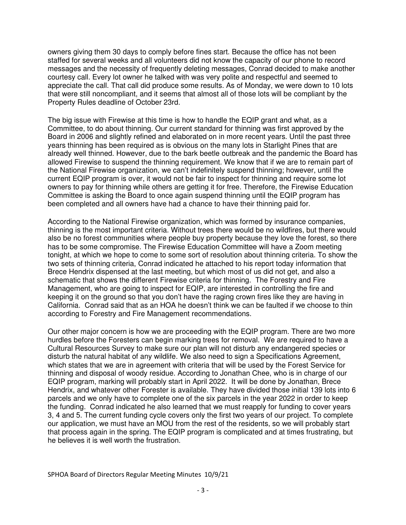owners giving them 30 days to comply before fines start. Because the office has not been staffed for several weeks and all volunteers did not know the capacity of our phone to record messages and the necessity of frequently deleting messages, Conrad decided to make another courtesy call. Every lot owner he talked with was very polite and respectful and seemed to appreciate the call. That call did produce some results. As of Monday, we were down to 10 lots that were still noncompliant, and it seems that almost all of those lots will be compliant by the Property Rules deadline of October 23rd.

The big issue with Firewise at this time is how to handle the EQIP grant and what, as a Committee, to do about thinning. Our current standard for thinning was first approved by the Board in 2006 and slightly refined and elaborated on in more recent years. Until the past three years thinning has been required as is obvious on the many lots in Starlight Pines that are already well thinned. However, due to the bark beetle outbreak and the pandemic the Board has allowed Firewise to suspend the thinning requirement. We know that if we are to remain part of the National Firewise organization, we can't indefinitely suspend thinning; however, until the current EQIP program is over, it would not be fair to inspect for thinning and require some lot owners to pay for thinning while others are getting it for free. Therefore, the Firewise Education Committee is asking the Board to once again suspend thinning until the EQIP program has been completed and all owners have had a chance to have their thinning paid for.

According to the National Firewise organization, which was formed by insurance companies, thinning is the most important criteria. Without trees there would be no wildfires, but there would also be no forest communities where people buy property because they love the forest, so there has to be some compromise. The Firewise Education Committee will have a Zoom meeting tonight, at which we hope to come to some sort of resolution about thinning criteria. To show the two sets of thinning criteria, Conrad indicated he attached to his report today information that Brece Hendrix dispensed at the last meeting, but which most of us did not get, and also a schematic that shows the different Firewise criteria for thinning. The Forestry and Fire Management, who are going to inspect for EQIP, are interested in controlling the fire and keeping it on the ground so that you don't have the raging crown fires like they are having in California. Conrad said that as an HOA he doesn't think we can be faulted if we choose to thin according to Forestry and Fire Management recommendations.

Our other major concern is how we are proceeding with the EQIP program. There are two more hurdles before the Foresters can begin marking trees for removal. We are required to have a Cultural Resources Survey to make sure our plan will not disturb any endangered species or disturb the natural habitat of any wildlife. We also need to sign a Specifications Agreement, which states that we are in agreement with criteria that will be used by the Forest Service for thinning and disposal of woody residue. According to Jonathan Chee, who is in charge of our EQIP program, marking will probably start in April 2022. It will be done by Jonathan, Brece Hendrix, and whatever other Forester is available. They have divided those initial 139 lots into 6 parcels and we only have to complete one of the six parcels in the year 2022 in order to keep the funding. Conrad indicated he also learned that we must reapply for funding to cover years 3, 4 and 5. The current funding cycle covers only the first two years of our project. To complete our application, we must have an MOU from the rest of the residents, so we will probably start that process again in the spring. The EQIP program is complicated and at times frustrating, but he believes it is well worth the frustration.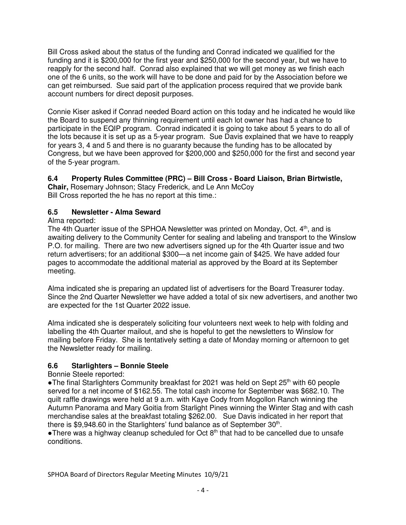Bill Cross asked about the status of the funding and Conrad indicated we qualified for the funding and it is \$200,000 for the first year and \$250,000 for the second year, but we have to reapply for the second half. Conrad also explained that we will get money as we finish each one of the 6 units, so the work will have to be done and paid for by the Association before we can get reimbursed. Sue said part of the application process required that we provide bank account numbers for direct deposit purposes.

Connie Kiser asked if Conrad needed Board action on this today and he indicated he would like the Board to suspend any thinning requirement until each lot owner has had a chance to participate in the EQIP program. Conrad indicated it is going to take about 5 years to do all of the lots because it is set up as a 5-year program. Sue Davis explained that we have to reapply for years 3, 4 and 5 and there is no guaranty because the funding has to be allocated by Congress, but we have been approved for \$200,000 and \$250,000 for the first and second year of the 5-year program.

# **6.4 Property Rules Committee (PRC) – Bill Cross - Board Liaison, Brian Birtwistle,**

**Chair,** Rosemary Johnson; Stacy Frederick, and Le Ann McCoy Bill Cross reported the he has no report at this time.:

# **6.5 Newsletter - Alma Seward**

## Alma reported:

The 4th Quarter issue of the SPHOA Newsletter was printed on Monday, Oct. 4<sup>th</sup>, and is awaiting delivery to the Community Center for sealing and labeling and transport to the Winslow P.O. for mailing. There are two new advertisers signed up for the 4th Quarter issue and two return advertisers; for an additional \$300—a net income gain of \$425. We have added four pages to accommodate the additional material as approved by the Board at its September meeting.

Alma indicated she is preparing an updated list of advertisers for the Board Treasurer today. Since the 2nd Quarter Newsletter we have added a total of six new advertisers, and another two are expected for the 1st Quarter 2022 issue.

Alma indicated she is desperately soliciting four volunteers next week to help with folding and labelling the 4th Quarter mailout, and she is hopeful to get the newsletters to Winslow for mailing before Friday. She is tentatively setting a date of Monday morning or afternoon to get the Newsletter ready for mailing.

## **6.6 Starlighters – Bonnie Steele**

## Bonnie Steele reported:

•The final Starlighters Community breakfast for 2021 was held on Sept 25<sup>th</sup> with 60 people served for a net income of \$162.55. The total cash income for September was \$682.10. The quilt raffle drawings were held at 9 a.m. with Kaye Cody from Mogollon Ranch winning the Autumn Panorama and Mary Goitia from Starlight Pines winning the Winter Stag and with cash merchandise sales at the breakfast totaling \$262.00. Sue Davis indicated in her report that there is \$9,948.60 in the Starlighters' fund balance as of September  $30<sup>th</sup>$ .

•There was a highway cleanup scheduled for Oct  $8<sup>th</sup>$  that had to be cancelled due to unsafe conditions.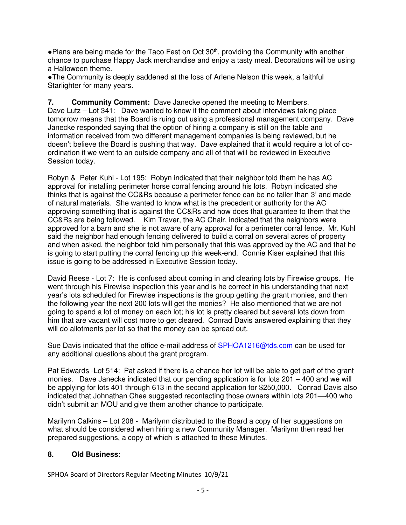• Plans are being made for the Taco Fest on Oct 30<sup>th</sup>, providing the Community with another chance to purchase Happy Jack merchandise and enjoy a tasty meal. Decorations will be using a Halloween theme.

●The Community is deeply saddened at the loss of Arlene Nelson this week, a faithful Starlighter for many years.

**7. Community Comment:** Dave Janecke opened the meeting to Members. Dave Lutz – Lot 341: Dave wanted to know if the comment about interviews taking place tomorrow means that the Board is ruing out using a professional management company. Dave Janecke responded saying that the option of hiring a company is still on the table and information received from two different management companies is being reviewed, but he doesn't believe the Board is pushing that way. Dave explained that it would require a lot of coordination if we went to an outside company and all of that will be reviewed in Executive Session today.

Robyn & Peter Kuhl - Lot 195: Robyn indicated that their neighbor told them he has AC approval for installing perimeter horse corral fencing around his lots. Robyn indicated she thinks that is against the CC&Rs because a perimeter fence can be no taller than 3' and made of natural materials. She wanted to know what is the precedent or authority for the AC approving something that is against the CC&Rs and how does that guarantee to them that the CC&Rs are being followed. Kim Traver, the AC Chair, indicated that the neighbors were approved for a barn and she is not aware of any approval for a perimeter corral fence. Mr. Kuhl said the neighbor had enough fencing delivered to build a corral on several acres of property and when asked, the neighbor told him personally that this was approved by the AC and that he is going to start putting the corral fencing up this week-end. Connie Kiser explained that this issue is going to be addressed in Executive Session today.

David Reese - Lot 7: He is confused about coming in and clearing lots by Firewise groups. He went through his Firewise inspection this year and is he correct in his understanding that next year's lots scheduled for Firewise inspections is the group getting the grant monies, and then the following year the next 200 lots will get the monies? He also mentioned that we are not going to spend a lot of money on each lot; his lot is pretty cleared but several lots down from him that are vacant will cost more to get cleared. Conrad Davis answered explaining that they will do allotments per lot so that the money can be spread out.

Sue Davis indicated that the office e-mail address of SPHOA1216@tds.com can be used for any additional questions about the grant program.

Pat Edwards -Lot 514: Pat asked if there is a chance her lot will be able to get part of the grant monies. Dave Janecke indicated that our pending application is for lots 201 – 400 and we will be applying for lots 401 through 613 in the second application for \$250,000. Conrad Davis also indicated that Johnathan Chee suggested recontacting those owners within lots 201—400 who didn't submit an MOU and give them another chance to participate.

Marilynn Calkins – Lot 208 - Marilynn distributed to the Board a copy of her suggestions on what should be considered when hiring a new Community Manager. Marilynn then read her prepared suggestions, a copy of which is attached to these Minutes.

## **8. Old Business:**

SPHOA Board of Directors Regular Meeting Minutes 10/9/21